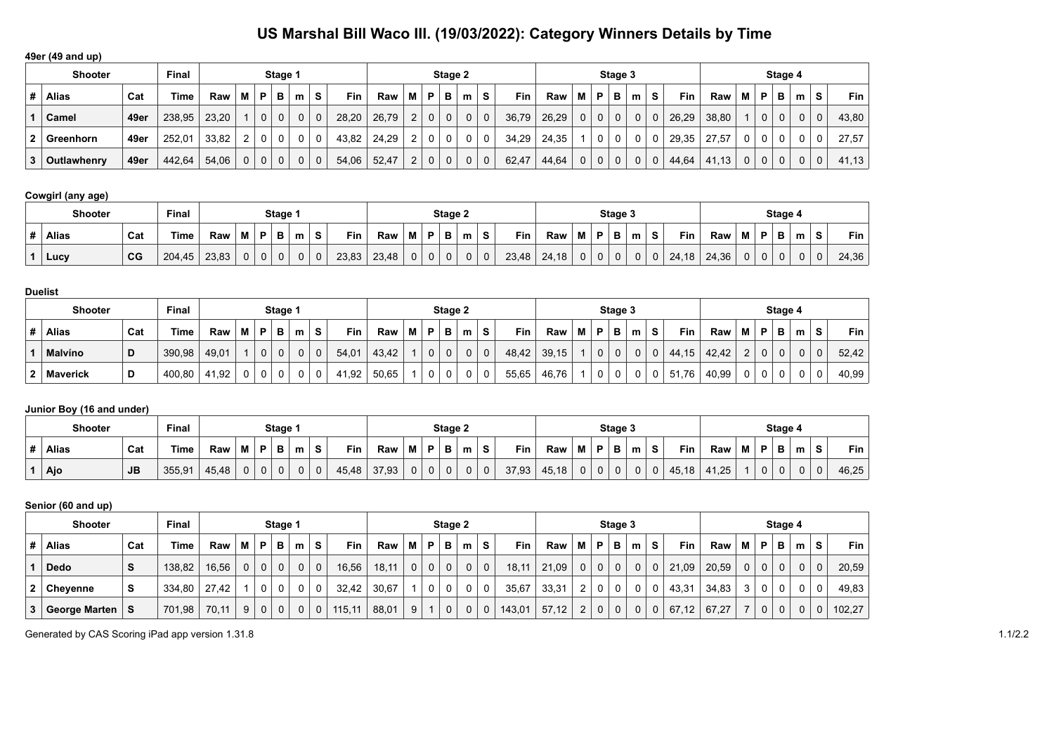**49er (49 and up)**

|   | <b>Shooter</b> |      | Final       |       |              |                | Stage 1      |   |             |       |       |                |                | Stage 2      |                |    |       |       |   |                | Stage 3      |          |    |            |          |   |   | Stage 4        |   |             |            |
|---|----------------|------|-------------|-------|--------------|----------------|--------------|---|-------------|-------|-------|----------------|----------------|--------------|----------------|----|-------|-------|---|----------------|--------------|----------|----|------------|----------|---|---|----------------|---|-------------|------------|
| # | <b>Alias</b>   | Cat  | <b>Time</b> | Raw   | М            | P              | в            | m | s           | Fin   | Raw   | м              | P              | в            | m              | S. | Fin   | Raw   | М | P              | в            | m        | S. | <b>Fin</b> | Raw      | м | P | в              | m | s           | <b>Fin</b> |
|   | Camel          | 49er | 238,95      | 23,20 |              | 0 <sup>1</sup> | 0            |   | $\mathbf 0$ | 28,20 | 26,79 | 2              | 0 <sup>1</sup> | $\mathbf{0}$ | $\overline{0}$ | 0  | 36,79 | 26,29 | 0 | $\mathbf 0$    | $\mathbf{0}$ | $\Omega$ | 0  | 26,29      | 38,80    |   | 0 | 0 <sup>1</sup> | 0 | $\mathbf 0$ | 43,80      |
|   | Greenhorn      | 49er | 252.01      | 33.82 | າ            | 0 <sup>1</sup> |              |   |             | 43,82 | 24,29 | 2              |                | 0            | $\Omega$       | 0  | 34.29 | 24,35 |   | 0              | 0            | $\Omega$ |    | 29,35      | 27.57    |   | 0 |                |   | $\Omega$    | 27.57      |
| 3 | Outlawhenry    | 49er | 442.64      | 54,06 | $\mathbf{0}$ | 0 <sup>1</sup> | $\mathbf{0}$ |   |             | 54,06 | 52,47 | $\overline{2}$ | $\mathbf 0$    | $\mathsf{O}$ | $\mathbf{0}$   | 0  | 62,47 | 44,64 |   | 0 <sup>1</sup> | $\mathsf{O}$ | $\Omega$ | 0  | 44.64      | 13<br>41 |   | 0 |                |   | $\mathbf 0$ | 41.13      |

### **Cowgirl (any age)**

|  | Shooter      |                | Final  |       |   |    | Stage 1 |   |                |       |       |             |              | Stage 2 |             |              |            |       |   |              | Stage 3 |   |    |            |       |   |   | Stage 4 |   |           |       |
|--|--------------|----------------|--------|-------|---|----|---------|---|----------------|-------|-------|-------------|--------------|---------|-------------|--------------|------------|-------|---|--------------|---------|---|----|------------|-------|---|---|---------|---|-----------|-------|
|  | <b>Alias</b> | Cat            | Time,  | Raw   | М | D. | в       | m | s              | Fin   | Raw   | М           | D            | в       | m           | s            | <b>Fin</b> | Raw   | М | Þ            | в       | m |    | Fin        | Raw   | M | Þ | в       | m | $\bullet$ | Fin   |
|  | Lucy         | C <sub>G</sub> | 204,45 | 23.83 |   | 0  | 0       | 0 | $\overline{0}$ | 23,83 | 23.48 | $\mathbf 0$ | $\mathbf{0}$ |         | $\mathbf 0$ | $\mathbf{0}$ | 23,48      | 24.18 | 0 | $\mathbf{0}$ |         |   | U. | 24.<br>.18 | 24.36 |   | 0 |         |   | 0         | 24,36 |

|                | <b>Shooter</b>  | Final |        |       |          | Stage 1  |   |   |   |       |       |   | Stage 2      |   |                |   |       |       |   | Stage 3 |              |          |    |       |       |               | Stage 4    |   |   |          |       |
|----------------|-----------------|-------|--------|-------|----------|----------|---|---|---|-------|-------|---|--------------|---|----------------|---|-------|-------|---|---------|--------------|----------|----|-------|-------|---------------|------------|---|---|----------|-------|
| #              | <b>Alias</b>    | Cat   | Time   | Raw   | . M I    | <b>P</b> | в | m | s | Fin   | Raw   | M | P            | в | m              | s | Fin   | Raw   | М | P       | B            | m        | S. | Fin   | Raw   | м             | P          | в | m | s        | Fin . |
|                | <b>Malvíno</b>  | D     | 390.98 | 49,01 |          |          | 0 | 0 | 0 | 54,01 | 43.42 |   | $\mathbf{0}$ | 0 | 0 <sup>1</sup> |   | 48.42 | 39,15 |   | 0       | $\mathbf{0}$ | $\Omega$ | 0  | 44.15 | 42.42 | ົ<br><u>.</u> | $\sqrt{ }$ | 0 |   | $\Omega$ | 52.42 |
| 2 <sup>1</sup> | <b>Maverick</b> |       | 400,80 | 41,92 | $\Omega$ |          | 0 |   |   | 41,92 | 50,65 |   | 0            | 0 |                |   | 55,65 | 46,76 |   | 0       | 0            |          | 0  | 51,76 | 40.99 |               | $\sim$     | 0 |   | 0        | 40,99 |

### **Junior Boy (16 and under)**

| Final<br><b>Shooter</b><br>Stage 1 |           |        |       |  |    |        |   |   |       |       |   |          | Stage 2 |   |   |       |       |   |    | Stage 3  |   |           |                                 |   |   | Stage 4 |   |          |       |
|------------------------------------|-----------|--------|-------|--|----|--------|---|---|-------|-------|---|----------|---------|---|---|-------|-------|---|----|----------|---|-----------|---------------------------------|---|---|---------|---|----------|-------|
| <b>Alias</b>                       | Cat       | Time   | Raw   |  | в. | Ð<br>◡ | m |   | Fin   | Raw   | M | D        | Ð       | m | S | Fin   | Raw   | M | в. | в        | m | Fin       | Raw                             | M | Þ | D<br>Ð  | m | S        | Fin   |
| Ajo                                | <b>JB</b> | 355,91 | 45,48 |  | 0  |        |   | υ | 45,48 | 37,93 | 0 | $\Omega$ |         | 0 | 0 | 37,93 | 45,18 | 0 | v  | $\Omega$ | 0 | 45<br>.18 | $\overline{25}$<br>$\mathbf{r}$ |   | 0 | 0       | 0 | $\Omega$ | 46,25 |

|                                           | Senior (60 and up) |     |        |       |                |              |             |                |                |            |       |              |             |              |              |              |            |       |                |                |                |              |             |            |       |          |             |             |          |   |        |
|-------------------------------------------|--------------------|-----|--------|-------|----------------|--------------|-------------|----------------|----------------|------------|-------|--------------|-------------|--------------|--------------|--------------|------------|-------|----------------|----------------|----------------|--------------|-------------|------------|-------|----------|-------------|-------------|----------|---|--------|
| <b>Final</b><br><b>Shooter</b><br>Stage 1 |                    |     |        |       |                |              |             |                |                |            |       |              |             | Stage 2      |              |              |            |       |                |                | Stage 3        |              |             |            |       |          |             | Stage 4     |          |   |        |
| #                                         | <b>Alias</b>       | Cat | Time   | Raw   | M I            | ΈP.          | в           | m              | S              | <b>Fin</b> | Raw   | м            | P           | в            | m            | S            | <b>Fin</b> | Raw   | м              | P              | в              | m            | s           | <b>Fin</b> | Raw   | м        | P           | в           | m        | s | Fin    |
|                                           | <b>Dedo</b>        | S.  | 138,82 | 16.56 | $\Omega$       | $\mathbf{0}$ | $\Omega$    | 0 <sup>1</sup> | $\overline{0}$ | 16,56      | 18,11 | $\mathbf{0}$ | $\mathbf 0$ | $\mathbf{0}$ | $\mathbf{0}$ | $\mathbf 0$  | 18,11      | 21.09 | 0              | 0 <sup>1</sup> | 0 <sup>1</sup> | $\mathbf 0$  | $\Omega$    | 21,09      | 20,59 | $\Omega$ | $\mathbf 0$ | $\mathbf 0$ | $\Omega$ |   | 20,59  |
| 2                                         | Chevenne           | s   | 334.80 | 27.42 |                | $\Omega$     | $\Omega$    | $\Omega$       | $\mathbf 0$    | 32.42      | 30.67 |              | 0           | $\Omega$     |              | 0            | 35,67      | 33,31 | $\overline{2}$ | $\overline{0}$ | $\mathbf 0$    | 0            | 0           | 43,31      | 34.83 | 3        |             | 0           | $\Omega$ |   | 49,83  |
| 3.                                        | George Marten      | S.  | 701,98 | 70.11 | 9 <sup>1</sup> | $\mathbf 0$  | $\mathbf 0$ | 0 <sup>1</sup> | $\mathbf{0}$   | 115,11     | 88,01 | 9            |             | $\mathbf 0$  | 0            | $\mathbf{0}$ | 143,01     | 57,12 | $\overline{2}$ | $\mathbf 0$    | $\mathbf{0}$   | $\mathbf{0}$ | $\mathbf 0$ | 67,12      | 67.27 |          |             | $\mathbf 0$ | $\Omega$ |   | 102.27 |

Generated by CAS Scoring iPad app version 1.31.8 1.1/2.2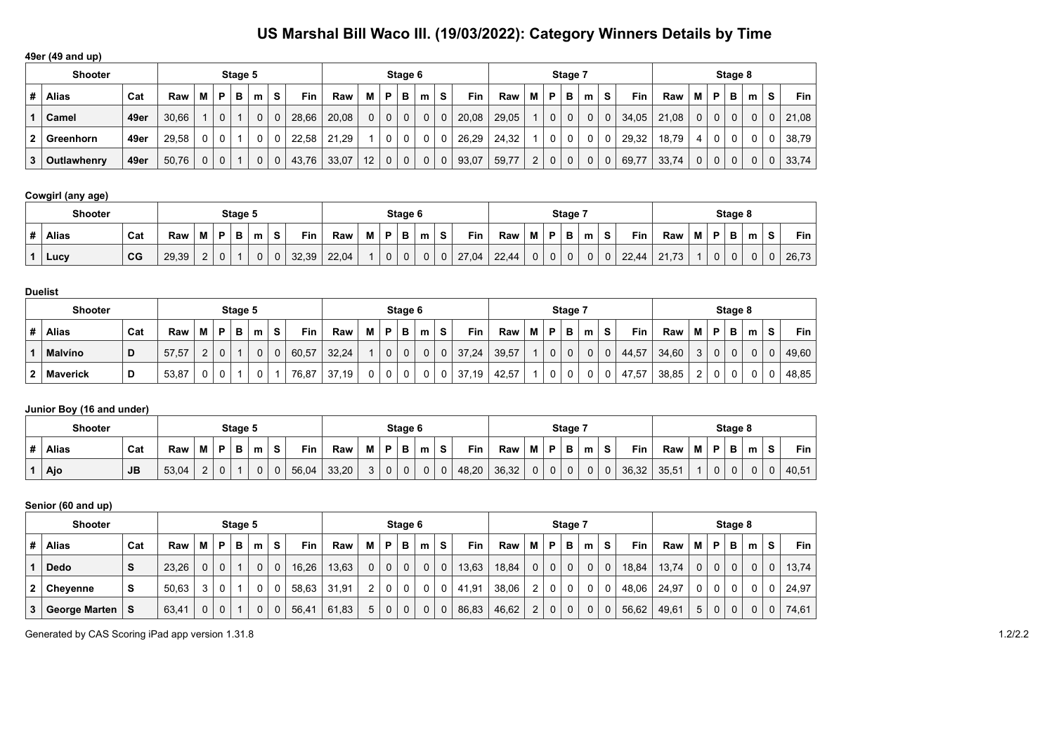**49er (49 and up)**

|                | <b>Shooter</b>     |      |       |   |   | Stage 5 |              |   |       |       |          |             | Stage 6  |                |   |       |       |                |   | Stage 7 |   |              |       |       |   |             | Stage 8  |                |          |       |
|----------------|--------------------|------|-------|---|---|---------|--------------|---|-------|-------|----------|-------------|----------|----------------|---|-------|-------|----------------|---|---------|---|--------------|-------|-------|---|-------------|----------|----------------|----------|-------|
| #              | Alias              | Cat  | Raw   | м | P | в       | m            | s | Fin   | Raw   | M        | P           | в        | m              | s | Fin   | Raw   | М              | P | в       | m | s            | Fin   | Raw   | м | P           | в        | m              | s        | Fin   |
|                | Camel              | 49er | 30.66 |   | 0 |         | $\Omega$     |   | 28.66 | 20,08 | $\Omega$ | $\mathbf 0$ | $\Omega$ | 0 <sup>1</sup> |   | 20.08 | 29.05 |                | 0 |         |   | $\Omega$     | 34.05 | 21,08 |   | $\mathbf 0$ | $\Omega$ | 0 <sup>1</sup> | $\Omega$ | 21,08 |
| 2 <sup>1</sup> | ∣ Greenhorn        | 49er | 29.58 | 0 |   |         |              |   | 22.58 | 21.29 |          | 0           |          |                |   | 26.29 | 24.32 |                | 0 |         |   | $\Omega$     | 29.32 | 18.79 |   | $\Omega$    | 0        |                | 0        | 38,79 |
| 3 <sup>1</sup> | <b>Outlawhenry</b> | 49er | 50,76 | 0 |   |         | $\mathbf{0}$ |   | 43,76 | 33,07 | 12       | $\mathbf 0$ | 0        |                | 0 | 93,07 | 59,77 | $\overline{2}$ | 0 | 0       |   | $\mathbf{0}$ | 69,77 | 33,74 |   | $\mathbf 0$ | 0        | 0              | 0        | 33,74 |

### **Cowgirl (any age)**

|   | <b>Shooter</b> |             | Stage 5 |          |   |  |             |  |       |       |   |                   | Stage 6 |   |   |       |       |   |                   | Stage 7 |   |   |       |                                 |   |   | Stage 8 |   |            |       |
|---|----------------|-------------|---------|----------|---|--|-------------|--|-------|-------|---|-------------------|---------|---|---|-------|-------|---|-------------------|---------|---|---|-------|---------------------------------|---|---|---------|---|------------|-------|
| п | <b>Alias</b>   | Cat         | Raw     |          | D |  | m           |  | Fin   | Raw   | M | D.                | в       | m |   | Fin   | Raw   | Μ |                   | в       | m |   | Fin   | Raw                             | М | в | в.<br>P | m | $\epsilon$ | Fin   |
|   | Lucy           | $_{\rm CG}$ | 29,39   | <u>_</u> |   |  | $\sim$<br>U |  | 32,39 | 22,04 |   | <sup>n</sup><br>υ |         |   | u | 27,04 | 22,44 | 0 | <sup>n</sup><br>U |         |   | 0 | 22,44 | 24<br>$\overline{z}$<br>$-1, 1$ |   | U |         |   |            | 26,73 |

#### **Duelist**

|                | <b>Shooter</b>  |     |       |   |   | Stage 5 |   |   |       |       |   |   | Stage 6       |   |                |       |       |   |   | Stage 7 |   |              |       |       |        |        | Stage 8  |   |   |       |
|----------------|-----------------|-----|-------|---|---|---------|---|---|-------|-------|---|---|---------------|---|----------------|-------|-------|---|---|---------|---|--------------|-------|-------|--------|--------|----------|---|---|-------|
| #              | <b>Alias</b>    | Cat | Raw   | М | D | в       | m | s | Fin   | Raw   | Μ | P | в             | m | $\bullet$<br>C | Fin   | Raw   | М | P | в       | m | S            | Fin   | Raw   | M      | P      | в        | m | s | Fin   |
|                | <b>Malvíno</b>  | D   | 57,57 |   |   |         |   | ν | 60,57 | 32,24 |   | 0 | $\Omega$<br>υ | 0 | 0              | 37,24 | 39,57 |   | 0 |         |   | $\mathbf{0}$ | 44,57 | 34,60 | C<br>J | $\cap$ | $\Omega$ |   | U | 49,60 |
| $\overline{2}$ | <b>Maverick</b> | D   | 53,87 |   |   |         |   |   | 76,87 | 37,19 |   | 0 | ∩<br>U        |   | 0.             | 37,19 | 42,57 |   | 0 |         |   | 0            | 47,57 | 38,85 | ົ      | $\cap$ | 0        |   | v | 48,85 |

### **Junior Boy (16 and under)**

|   | <b>Shooter</b> | Stage 5   |       |               |   |   |   |        |            |       |   | Stage 6     |              |   |        |            |       |             | Stage 7 |   |   |   |       |                   |   | Stage 8     |   |   |   |       |
|---|----------------|-----------|-------|---------------|---|---|---|--------|------------|-------|---|-------------|--------------|---|--------|------------|-------|-------------|---------|---|---|---|-------|-------------------|---|-------------|---|---|---|-------|
| # | <b>Alias</b>   | Cat       | Raw   | M             | D | D | m | s      | <b>Fin</b> | Raw   | M | P           |              | m | e<br>ີ | <b>Fin</b> | Raw   | M           | D       | ⋼ | m | s | Fin   | Raw               | M | Þ           | p | m | o | Fin   |
|   | Ajo            | <b>JB</b> | 53,04 | ⌒<br><u>.</u> |   |   | U | ⌒<br>U | 56,04      | 33,20 | ⌒ | $\mathbf 0$ | <sup>n</sup> |   | ◡      | 48,20      | 36,32 | $\sim$<br>U | 0       |   |   | 0 | 36,32 | 35.5 <sup>1</sup> |   | $\sim$<br>U | U |   |   | 40,51 |

|                           | Senior (60 and up)   |     |       |                |              |   |   |             |       |       |                |                |             |   |   |            |       |             |                |              |          |             |            |       |   |             |              |   |              |            |
|---------------------------|----------------------|-----|-------|----------------|--------------|---|---|-------------|-------|-------|----------------|----------------|-------------|---|---|------------|-------|-------------|----------------|--------------|----------|-------------|------------|-------|---|-------------|--------------|---|--------------|------------|
| <b>Shooter</b><br>Stage 5 |                      |     |       |                |              |   |   |             |       |       |                |                | Stage 6     |   |   |            |       |             |                | Stage 7      |          |             |            |       |   |             | Stage 8      |   |              |            |
| #                         | <b>Alias</b>         | Cat | Raw   | м              | P            | B | m | s           | Fin   | Raw   | м              | P              | в           | m | s | <b>Fin</b> | Raw   | М           | P              | в            | m        | s           | <b>Fin</b> | Raw   | М | P           | в            | m | s            | <b>Fin</b> |
|                           | <b>Dedo</b>          | S   | 23,26 | 0 <sub>1</sub> | $\mathbf 0$  |   | 0 | 0           | 16,26 | 13,63 | 0              | $\overline{0}$ | $\mathbf 0$ | 0 | 0 | 13,63      | 18,84 | $\mathbf 0$ | 0 <sup>1</sup> | $\mathbf{0}$ | $\Omega$ | $\mathbf 0$ | 18,84      | 13,74 | 0 | $\mathbf 0$ | $\mathbf{0}$ |   | 0            | 13,74      |
| 2 <sup>1</sup>            | Chevenne             | s   | 50,63 | 3 <sub>1</sub> | $\Omega$     |   | 0 | 0           | 58,63 | 31,91 | $\overline{2}$ | $\overline{0}$ | $\mathbf 0$ | 0 | 0 | 41,91      | 38,06 | 2           | 0 <sup>1</sup> | 0            |          | 0           | 48,06      | 24.97 | 0 | $\Omega$    | 0            |   |              | 24,97      |
| 3 <sup>1</sup>            | <b>George Marten</b> | S   | 63,41 | 0 <sub>1</sub> | $\mathbf{0}$ |   | 0 | $\mathbf 0$ | 56,41 | 61,83 | 5              | $\mathbf{0}$   | $\mathbf 0$ | 0 | 0 | 86,83      | 46,62 | 2           | 0 <sup>1</sup> | $\mathbf{0}$ | $\Omega$ | $\mathbf 0$ | 56,62      | 49,61 | 5 | $\mathbf 0$ | 0            |   | $\mathbf{0}$ | 74,61      |

Generated by CAS Scoring iPad app version 1.31.8 1.2/2.2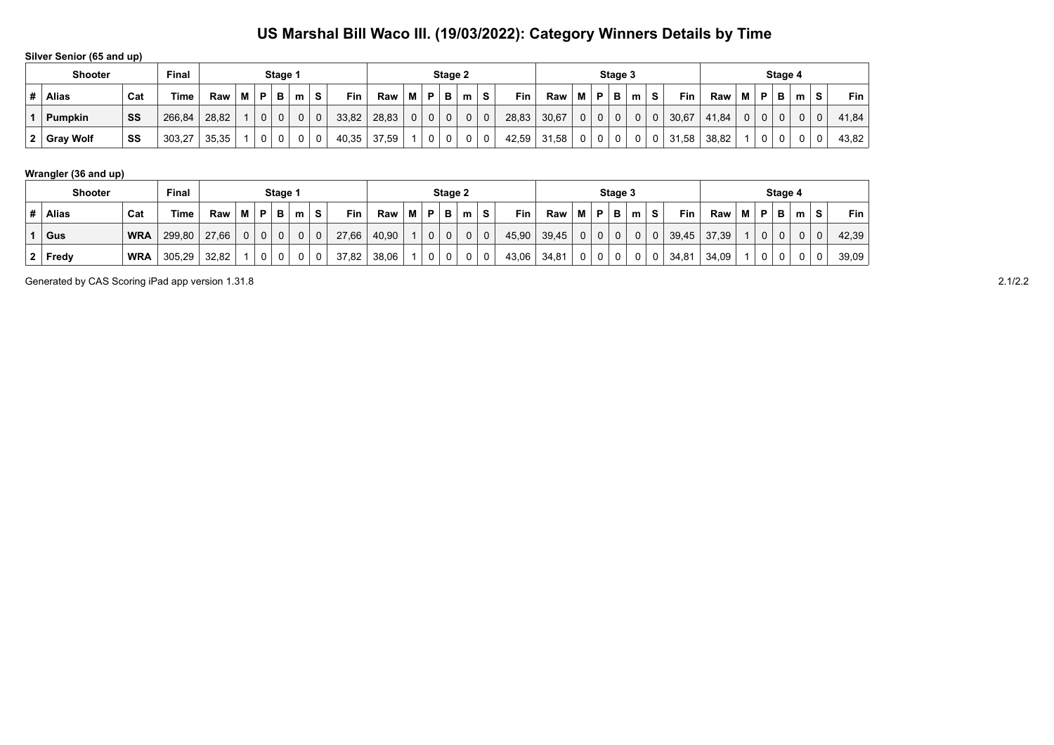**Silver Senior (65 and up)**

|         | <b>Shooter</b> | Final |        |       |   | Stage 1  |   |   |          |       |       |             | Stage 2        |   |   |             |       |       |             | Stage 3 |   |   |   |       |       |   | Stage 4 |   |                |   |       |
|---------|----------------|-------|--------|-------|---|----------|---|---|----------|-------|-------|-------------|----------------|---|---|-------------|-------|-------|-------------|---------|---|---|---|-------|-------|---|---------|---|----------------|---|-------|
| Ħ       | <b>Alias</b>   | Cat   | Time   | Raw   | M | P        | в | m | s        | Fin   | Raw   | M           | D              | в | m | S.          | Fin   | Raw   | М           | D       | в | m | s | Fin   | Raw   | M | D       | в | m              | s | Fin   |
|         | <b>Pumpkin</b> | SS    | 266,84 | 28,82 |   | $\Omega$ |   |   | $\Omega$ | 33,82 | 28,83 | $\mathbf 0$ | 0 <sup>1</sup> | 0 |   | $\mathbf 0$ | 28,83 | 30,67 | $\mathbf 0$ | 0       | 0 |   | 0 | 30,67 | 41.84 |   |         | 0 | 0 <sup>1</sup> |   | 41,84 |
| -3<br>▴ | Gray Wolf      | SS    | 303,27 | 35,35 |   |          |   |   |          | 40,35 | 37,59 |             | $\sim$         | ν |   |             | 42,59 | 31,58 |             |         |   |   | 0 | 31,58 | 38,82 |   |         |   | 0              |   | 43,82 |

### **Wrangler (36 and up)**

| <b>Shooter</b> |              |            | Final  |       |   | Stage 2      |          |   |   |       |       |   |          |   | Stage 4 |             |       |       |   |                |   |          |    |            |       |   |              |     |   |             |         |
|----------------|--------------|------------|--------|-------|---|--------------|----------|---|---|-------|-------|---|----------|---|---------|-------------|-------|-------|---|----------------|---|----------|----|------------|-------|---|--------------|-----|---|-------------|---------|
|                | <b>Alias</b> | Cat        | Time   | Raw   | м | P            | в        | m | s | Fin   | Raw   | М | D        | в | m       | s           | Fin   | Raw   | M | P              | в | m        | S. | <b>Fin</b> | Raw   | м | P            | B I | m | s           | $Fin$ , |
|                | Gus          | <b>WRA</b> | 299,80 | 27,66 |   | $\mathbf{0}$ | $\Omega$ |   | 0 | 27,66 | 40,90 |   | $\Omega$ |   |         | $\mathbf 0$ | 45,90 | 39,45 |   | 0 <sup>1</sup> |   | $\Omega$ | 0  | 39,45      | 37.39 |   | $\mathbf{0}$ |     |   | $\mathbf 0$ | 42,39   |
|                | Fredy        | <b>WRA</b> | 305,29 | 32,82 |   | 0            |          |   | 0 | 37,82 | 38,06 |   |          |   |         |             | 43,06 | 34,81 |   | 0              |   |          | 0  | 34,81      | 34.09 |   | 0            |     |   | 0           | 39,09   |

Generated by CAS Scoring iPad app version 1.31.8 2.1/2.2